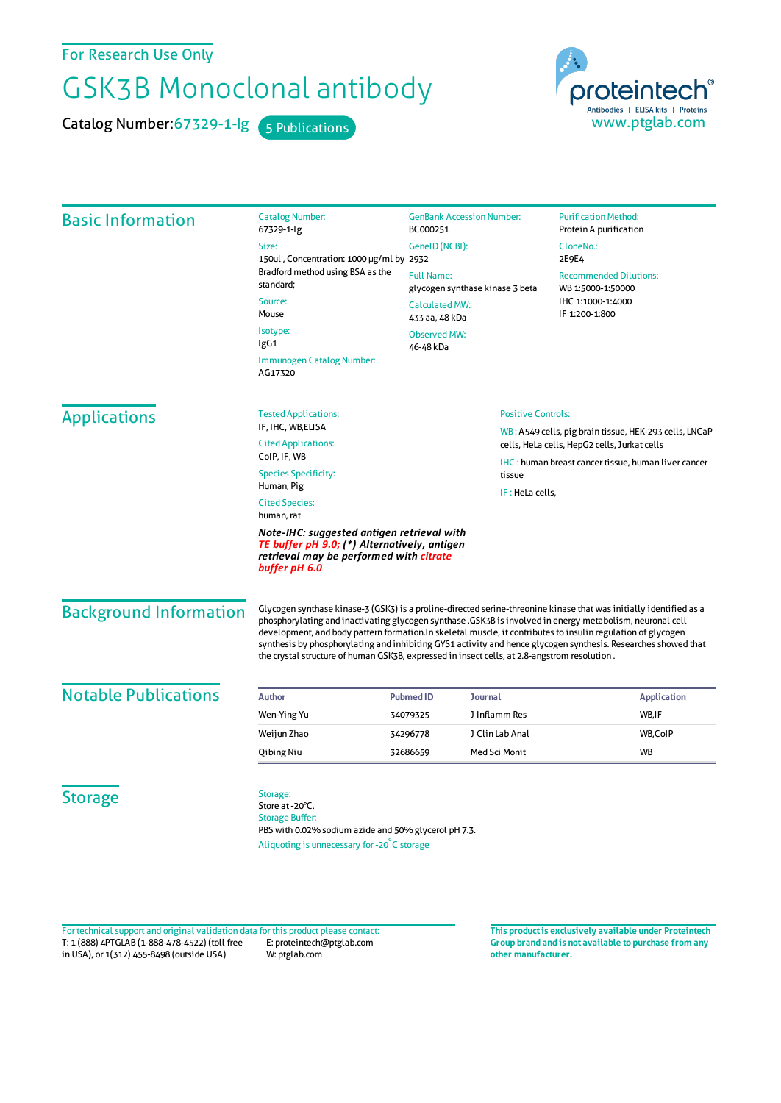For Research Use Only

## GSK3B Monoclonal antibody

Catalog Number: 67329-1-lg 5 Publications



| <b>Basic Information</b>                                                                                                                                            | <b>Catalog Number:</b><br>67329-1-lg                                                                                                                                                                                                                                                                                                                                                                                                                                                                                                                              | <b>GenBank Accession Number:</b><br>BC000251<br>GeneID (NCBI):<br><b>Full Name:</b><br>glycogen synthase kinase 3 beta<br><b>Calculated MW:</b><br>433 aa, 48 kDa<br><b>Observed MW:</b><br>46-48 kDa |                 | <b>Purification Method:</b><br>Protein A purification                                                           |
|---------------------------------------------------------------------------------------------------------------------------------------------------------------------|-------------------------------------------------------------------------------------------------------------------------------------------------------------------------------------------------------------------------------------------------------------------------------------------------------------------------------------------------------------------------------------------------------------------------------------------------------------------------------------------------------------------------------------------------------------------|-------------------------------------------------------------------------------------------------------------------------------------------------------------------------------------------------------|-----------------|-----------------------------------------------------------------------------------------------------------------|
|                                                                                                                                                                     | Size:<br>150ul, Concentration: 1000 µg/ml by 2932                                                                                                                                                                                                                                                                                                                                                                                                                                                                                                                 |                                                                                                                                                                                                       |                 | CloneNo.:<br>2E9E4<br><b>Recommended Dilutions:</b><br>WB 1:5000-1:50000<br>IHC 1:1000-1:4000<br>IF 1:200-1:800 |
|                                                                                                                                                                     | Bradford method using BSA as the<br>standard;<br>Source:<br>Mouse                                                                                                                                                                                                                                                                                                                                                                                                                                                                                                 |                                                                                                                                                                                                       |                 |                                                                                                                 |
|                                                                                                                                                                     |                                                                                                                                                                                                                                                                                                                                                                                                                                                                                                                                                                   |                                                                                                                                                                                                       |                 |                                                                                                                 |
|                                                                                                                                                                     | <b>Immunogen Catalog Number:</b><br>AG17320                                                                                                                                                                                                                                                                                                                                                                                                                                                                                                                       |                                                                                                                                                                                                       |                 |                                                                                                                 |
|                                                                                                                                                                     | <b>Applications</b>                                                                                                                                                                                                                                                                                                                                                                                                                                                                                                                                               |                                                                                                                                                                                                       |                 |                                                                                                                 |
| <b>Cited Applications:</b><br>ColP, IF, WB                                                                                                                          |                                                                                                                                                                                                                                                                                                                                                                                                                                                                                                                                                                   | WB: A549 cells, pig brain tissue, HEK-293 cells, LNCaP<br>cells, HeLa cells, HepG2 cells, Jurkat cells                                                                                                |                 |                                                                                                                 |
| <b>Species Specificity:</b><br>Human, Pig                                                                                                                           |                                                                                                                                                                                                                                                                                                                                                                                                                                                                                                                                                                   | tissue                                                                                                                                                                                                |                 | <b>IHC</b> : human breast cancer tissue, human liver cancer                                                     |
| <b>Cited Species:</b><br>human, rat                                                                                                                                 |                                                                                                                                                                                                                                                                                                                                                                                                                                                                                                                                                                   | IF: HeLa cells,                                                                                                                                                                                       |                 |                                                                                                                 |
| Note-IHC: suggested antigen retrieval with<br>TE buffer pH 9.0; (*) Alternatively, antigen<br>retrieval may be performed with <mark>citrate</mark><br>buffer pH 6.0 |                                                                                                                                                                                                                                                                                                                                                                                                                                                                                                                                                                   |                                                                                                                                                                                                       |                 |                                                                                                                 |
| <b>Background Information</b>                                                                                                                                       | Glycogen synthase kinase-3 (GSK3) is a proline-directed serine-threonine kinase that was initially identified as a<br>phosphorylating and inactivating glycogen synthase .GSK3B is involved in energy metabolism, neuronal cell<br>development, and body pattern formation.In skeletal muscle, it contributes to insulin regulation of glycogen<br>synthesis by phosphorylating and inhibiting GYS1 activity and hence glycogen synthesis. Researches showed that<br>the crystal structure of human GSK3B, expressed in insect cells, at 2.8-angstrom resolution. |                                                                                                                                                                                                       |                 |                                                                                                                 |
| <b>Notable Publications</b>                                                                                                                                         | <b>Author</b>                                                                                                                                                                                                                                                                                                                                                                                                                                                                                                                                                     | <b>Pubmed ID</b>                                                                                                                                                                                      | <b>Journal</b>  | <b>Application</b>                                                                                              |
|                                                                                                                                                                     | Wen-Ying Yu                                                                                                                                                                                                                                                                                                                                                                                                                                                                                                                                                       | 34079325                                                                                                                                                                                              | J Inflamm Res   | WB, IF                                                                                                          |
|                                                                                                                                                                     | Weijun Zhao                                                                                                                                                                                                                                                                                                                                                                                                                                                                                                                                                       | 34296778                                                                                                                                                                                              | J Clin Lab Anal | WB,CoIP                                                                                                         |
|                                                                                                                                                                     | Qibing Niu                                                                                                                                                                                                                                                                                                                                                                                                                                                                                                                                                        | 32686659                                                                                                                                                                                              | Med Sci Monit   | <b>WB</b>                                                                                                       |
| <b>Storage</b>                                                                                                                                                      | Storage:<br>Store at -20°C.<br><b>Storage Buffer:</b><br>PBS with 0.02% sodium azide and 50% glycerol pH 7.3.<br>Aliquoting is unnecessary for -20°C storage                                                                                                                                                                                                                                                                                                                                                                                                      |                                                                                                                                                                                                       |                 |                                                                                                                 |

T: 1 (888) 4PTGLAB (1-888-478-4522) (toll free in USA), or 1(312) 455-8498 (outside USA) E: proteintech@ptglab.com W: ptglab.com Fortechnical support and original validation data forthis product please contact: **This productis exclusively available under Proteintech**

**Group brand and is not available to purchase from any other manufacturer.**